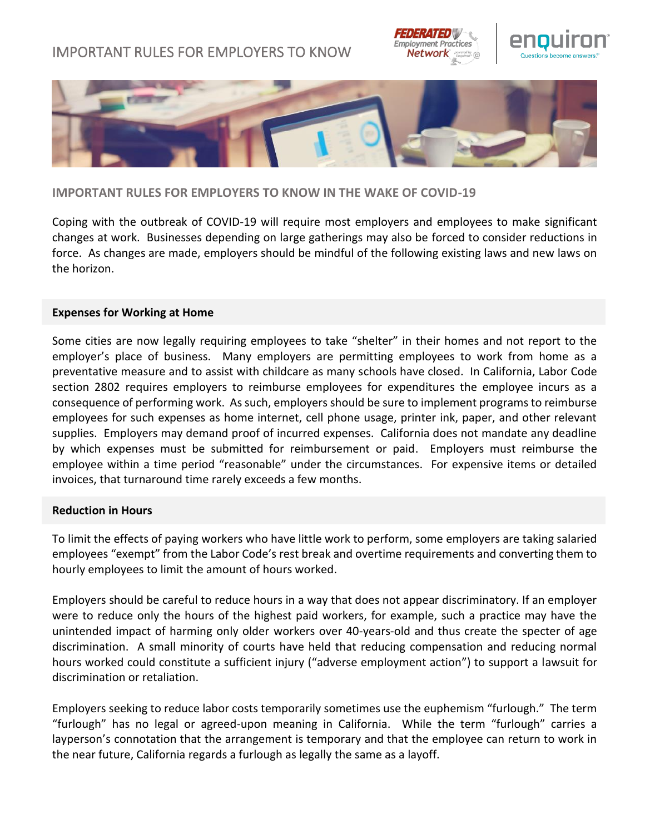# IMPORTANT RULES FOR EMPLOYERS TO KNOW







## **IMPORTANT RULES FOR EMPLOYERS TO KNOW IN THE WAKE OF COVID-19**

Coping with the outbreak of COVID-19 will require most employers and employees to make significant changes at work. Businesses depending on large gatherings may also be forced to consider reductions in force. As changes are made, employers should be mindful of the following existing laws and new laws on the horizon.

### **Expenses for Working at Home**

Some cities are now legally requiring employees to take "shelter" in their homes and not report to the employer's place of business. Many employers are permitting employees to work from home as a preventative measure and to assist with childcare as many schools have closed. In California, Labor Code section 2802 requires employers to reimburse employees for expenditures the employee incurs as a consequence of performing work. As such, employers should be sure to implement programs to reimburse employees for such expenses as home internet, cell phone usage, printer ink, paper, and other relevant supplies. Employers may demand proof of incurred expenses. California does not mandate any deadline by which expenses must be submitted for reimbursement or paid. Employers must reimburse the employee within a time period "reasonable" under the circumstances. For expensive items or detailed invoices, that turnaround time rarely exceeds a few months.

### **Reduction in Hours**

To limit the effects of paying workers who have little work to perform, some employers are taking salaried employees "exempt" from the Labor Code's rest break and overtime requirements and converting them to hourly employees to limit the amount of hours worked.

Employers should be careful to reduce hours in a way that does not appear discriminatory. If an employer were to reduce only the hours of the highest paid workers, for example, such a practice may have the unintended impact of harming only older workers over 40-years-old and thus create the specter of age discrimination. A small minority of courts have held that reducing compensation and reducing normal hours worked could constitute a sufficient injury ("adverse employment action") to support a lawsuit for discrimination or retaliation.

Employers seeking to reduce labor costs temporarily sometimes use the euphemism "furlough." The term "furlough" has no legal or agreed-upon meaning in California. While the term "furlough" carries a layperson's connotation that the arrangement is temporary and that the employee can return to work in the near future, California regards a furlough as legally the same as a layoff.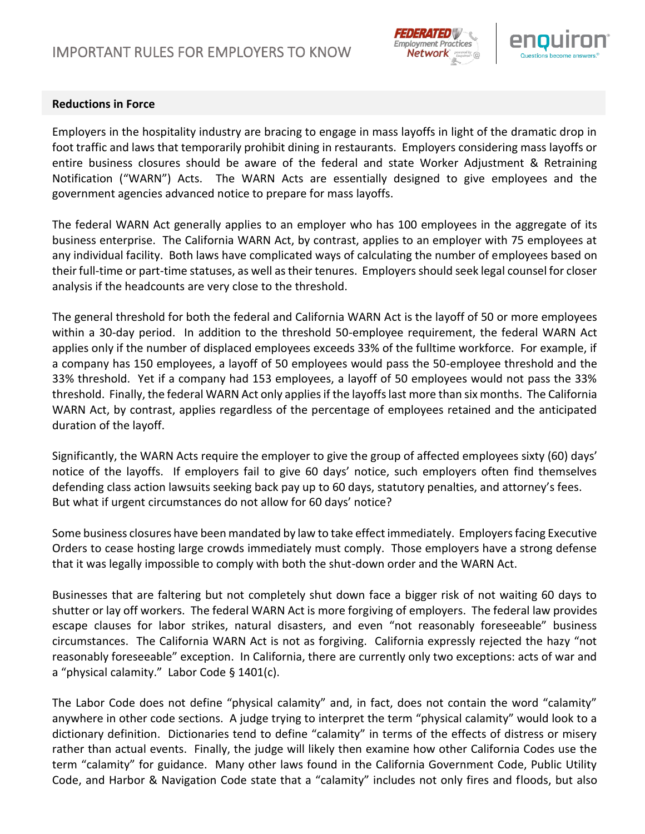



## **Reductions in Force**

Employers in the hospitality industry are bracing to engage in mass layoffs in light of the dramatic drop in foot traffic and laws that temporarily prohibit dining in restaurants. Employers considering mass layoffs or entire business closures should be aware of the federal and state Worker Adjustment & Retraining Notification ("WARN") Acts. The WARN Acts are essentially designed to give employees and the government agencies advanced notice to prepare for mass layoffs.

The federal WARN Act generally applies to an employer who has 100 employees in the aggregate of its business enterprise. The California WARN Act, by contrast, applies to an employer with 75 employees at any individual facility. Both laws have complicated ways of calculating the number of employees based on their full-time or part-time statuses, as well as their tenures. Employers should seek legal counsel for closer analysis if the headcounts are very close to the threshold.

The general threshold for both the federal and California WARN Act is the layoff of 50 or more employees within a 30-day period. In addition to the threshold 50-employee requirement, the federal WARN Act applies only if the number of displaced employees exceeds 33% of the fulltime workforce. For example, if a company has 150 employees, a layoff of 50 employees would pass the 50-employee threshold and the 33% threshold. Yet if a company had 153 employees, a layoff of 50 employees would not pass the 33% threshold. Finally, the federal WARN Act only applies if the layoffs last more than six months. The California WARN Act, by contrast, applies regardless of the percentage of employees retained and the anticipated duration of the layoff.

Significantly, the WARN Acts require the employer to give the group of affected employees sixty (60) days' notice of the layoffs. If employers fail to give 60 days' notice, such employers often find themselves defending class action lawsuits seeking back pay up to 60 days, statutory penalties, and attorney's fees. But what if urgent circumstances do not allow for 60 days' notice?

Some business closures have been mandated by law to take effect immediately. Employers facing Executive Orders to cease hosting large crowds immediately must comply. Those employers have a strong defense that it was legally impossible to comply with both the shut-down order and the WARN Act.

Businesses that are faltering but not completely shut down face a bigger risk of not waiting 60 days to shutter or lay off workers. The federal WARN Act is more forgiving of employers. The federal law provides escape clauses for labor strikes, natural disasters, and even "not reasonably foreseeable" business circumstances. The California WARN Act is not as forgiving. California expressly rejected the hazy "not reasonably foreseeable" exception. In California, there are currently only two exceptions: acts of war and a "physical calamity." Labor Code § 1401(c).

The Labor Code does not define "physical calamity" and, in fact, does not contain the word "calamity" anywhere in other code sections. A judge trying to interpret the term "physical calamity" would look to a dictionary definition. Dictionaries tend to define "calamity" in terms of the effects of distress or misery rather than actual events. Finally, the judge will likely then examine how other California Codes use the term "calamity" for guidance. Many other laws found in the California Government Code, Public Utility Code, and Harbor & Navigation Code state that a "calamity" includes not only fires and floods, but also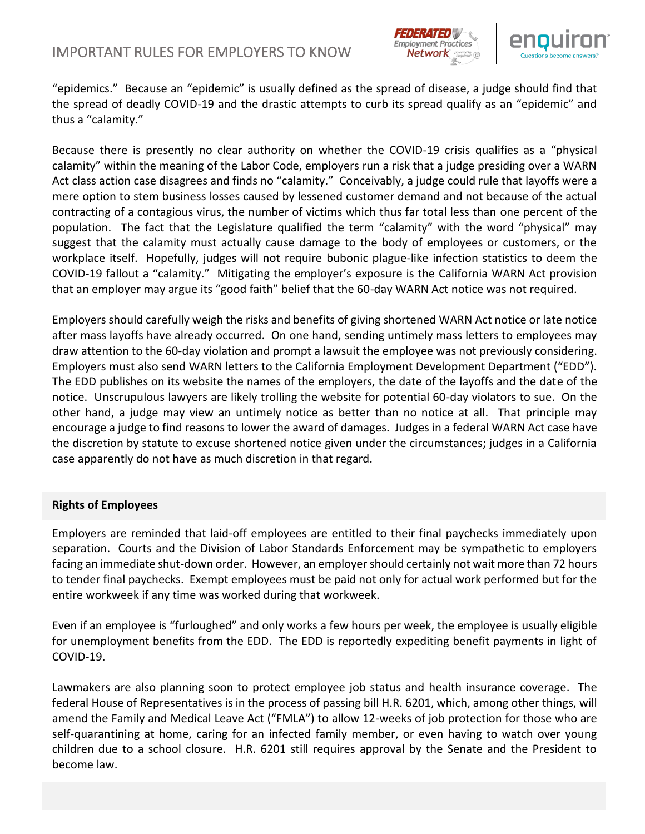



"epidemics." Because an "epidemic" is usually defined as the spread of disease, a judge should find that the spread of deadly COVID-19 and the drastic attempts to curb its spread qualify as an "epidemic" and thus a "calamity."

Because there is presently no clear authority on whether the COVID-19 crisis qualifies as a "physical calamity" within the meaning of the Labor Code, employers run a risk that a judge presiding over a WARN Act class action case disagrees and finds no "calamity." Conceivably, a judge could rule that layoffs were a mere option to stem business losses caused by lessened customer demand and not because of the actual contracting of a contagious virus, the number of victims which thus far total less than one percent of the population. The fact that the Legislature qualified the term "calamity" with the word "physical" may suggest that the calamity must actually cause damage to the body of employees or customers, or the workplace itself. Hopefully, judges will not require bubonic plague-like infection statistics to deem the COVID-19 fallout a "calamity." Mitigating the employer's exposure is the California WARN Act provision that an employer may argue its "good faith" belief that the 60-day WARN Act notice was not required.

Employers should carefully weigh the risks and benefits of giving shortened WARN Act notice or late notice after mass layoffs have already occurred. On one hand, sending untimely mass letters to employees may draw attention to the 60-day violation and prompt a lawsuit the employee was not previously considering. Employers must also send WARN letters to the California Employment Development Department ("EDD"). The EDD publishes on its website the names of the employers, the date of the layoffs and the date of the notice. Unscrupulous lawyers are likely trolling the website for potential 60-day violators to sue. On the other hand, a judge may view an untimely notice as better than no notice at all. That principle may encourage a judge to find reasons to lower the award of damages. Judges in a federal WARN Act case have the discretion by statute to excuse shortened notice given under the circumstances; judges in a California case apparently do not have as much discretion in that regard.

### **Rights of Employees**

Employers are reminded that laid-off employees are entitled to their final paychecks immediately upon separation. Courts and the Division of Labor Standards Enforcement may be sympathetic to employers facing an immediate shut-down order. However, an employer should certainly not wait more than 72 hours to tender final paychecks. Exempt employees must be paid not only for actual work performed but for the entire workweek if any time was worked during that workweek.

Even if an employee is "furloughed" and only works a few hours per week, the employee is usually eligible for unemployment benefits from the EDD. The EDD is reportedly expediting benefit payments in light of COVID-19.

Lawmakers are also planning soon to protect employee job status and health insurance coverage. The federal House of Representatives is in the process of passing bill H.R. 6201, which, among other things, will amend the Family and Medical Leave Act ("FMLA") to allow 12-weeks of job protection for those who are self-quarantining at home, caring for an infected family member, or even having to watch over young children due to a school closure. H.R. 6201 still requires approval by the Senate and the President to become law.